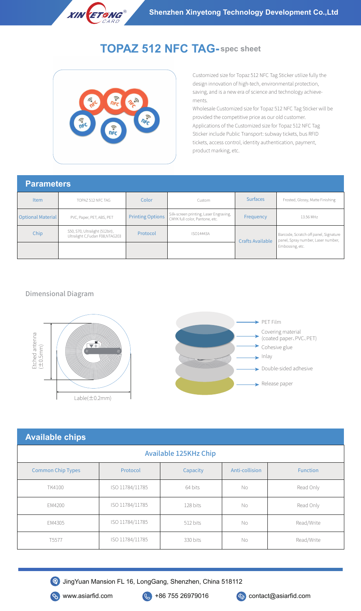

# **TOPAZ 512 NFC TAG- spec sheet**



Customized size for Topaz 512 NFC Tag Sticker utilize fully the design innovation of high-tech, environmental protection, saving, and is a new era of science and technology achievements.

Wholesale Customized size for Topaz 512 NFC Tag Sticker will be provided the competitive price as our old customer. Applications of the Customized size for Topaz 512 NFC Tag Sticker include Public Transport: subway tickets, bus RFID tickets, access control, identity authentication, payment, product marking, etc.

### **Parameters**

| <u>uluhivwo v</u>        |                                                                    |                         |                                                                          |                         |                                                                                                |
|--------------------------|--------------------------------------------------------------------|-------------------------|--------------------------------------------------------------------------|-------------------------|------------------------------------------------------------------------------------------------|
| Item                     | TOPAZ 512 NFC TAG                                                  | Color                   | Custom                                                                   | <b>Surfaces</b>         | Frosted, Glossy, Matte Finishing                                                               |
| <b>Optional Material</b> | PVC, Paper, PET, ABS, PET                                          | <b>Printing Options</b> | Silk-screen printing, Laser Engraving,<br>CMYK full color, Pantone, etc. | Frequency               | 13.56 MHz                                                                                      |
| Chip                     | S50, S70, Ultralight (512bit),<br>Ultralight C, Fudan F08, NTAG203 | Protocol                | <b>ISO14443A</b>                                                         | <b>Crafts Available</b> | Barcode, Scratch off panel, Signature<br>panel, Spray number, Laser number,<br>Embossing, etc. |
|                          |                                                                    |                         |                                                                          |                         |                                                                                                |

## Dimensional Diagram



## **Available chips**

### Available 125KHz Chip

| <b>Common Chip Types</b> | Protocol        | Capacity | Anti-collision | <b>Function</b> |
|--------------------------|-----------------|----------|----------------|-----------------|
| TK4100                   | ISO 11784/11785 | 64 bits  | No             | Read Only       |
| EM4200                   | ISO 11784/11785 | 128 bits | No             | Read Only       |
| EM4305                   | ISO 11784/11785 | 512 bits | No             | Read/Write      |
| T5577                    | ISO 11784/11785 | 330 bits | No             | Read/Write      |



JingYuan Mansion FL 16, LongGang, Shenzhen, China 518112